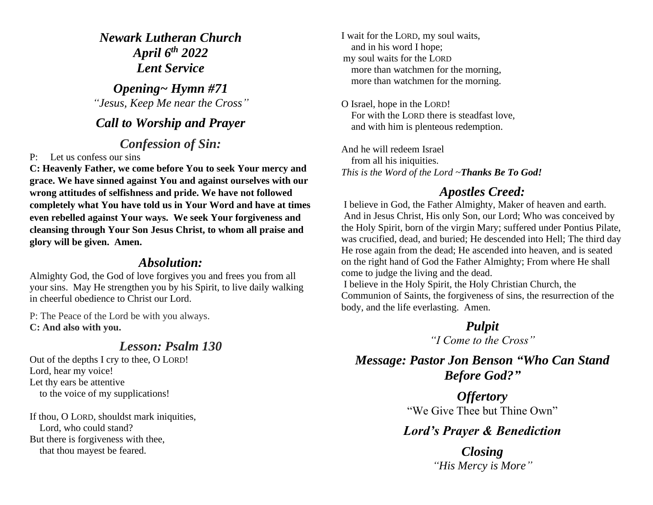*Newark Lutheran Church April 6 th 2022 Lent Service*

*Opening~ Hymn #71 "Jesus, Keep Me near the Cross"*

#### *Call to Worship and Prayer*

#### *Confession of Sin:*

P: Let us confess our sins

**C: Heavenly Father, we come before You to seek Your mercy and grace. We have sinned against You and against ourselves with our wrong attitudes of selfishness and pride. We have not followed completely what You have told us in Your Word and have at times even rebelled against Your ways. We seek Your forgiveness and cleansing through Your Son Jesus Christ, to whom all praise and glory will be given. Amen.**

#### *Absolution:*

Almighty God, the God of love forgives you and frees you from all your sins. May He strengthen you by his Spirit, to live daily walking in cheerful obedience to Christ our Lord.

P: The Peace of the Lord be with you always. **C: And also with you.**

## *Lesson: Psalm 130*

Out of the depths I cry to thee, O LORD! Lord, hear my voice! Let thy ears be attentive to the voice of my supplications!

If thou, O LORD, shouldst mark iniquities, Lord, who could stand? But there is forgiveness with thee, that thou mayest be feared.

I wait for the LORD, my soul waits, and in his word I hope; my soul waits for the LORD more than watchmen for the morning, more than watchmen for the morning.

O Israel, hope in the LORD! For with the LORD there is steadfast love, and with him is plenteous redemption.

And he will redeem Israel from all his iniquities. *This is the Word of the Lord ~Thanks Be To God!*

# *Apostles Creed:*

I believe in God, the Father Almighty, Maker of heaven and earth. And in Jesus Christ, His only Son, our Lord; Who was conceived by the Holy Spirit, born of the virgin Mary; suffered under Pontius Pilate, was crucified, dead, and buried; He descended into Hell; The third day He rose again from the dead; He ascended into heaven, and is seated on the right hand of God the Father Almighty; From where He shall come to judge the living and the dead.

I believe in the Holy Spirit, the Holy Christian Church, the Communion of Saints, the forgiveness of sins, the resurrection of the body, and the life everlasting. Amen.

> *Pulpit "I Come to the Cross"*

*Message: Pastor Jon Benson "Who Can Stand Before God?"*

> *Offertory* "We Give Thee but Thine Own"

## *Lord's Prayer & Benediction*

*Closing "His Mercy is More"*